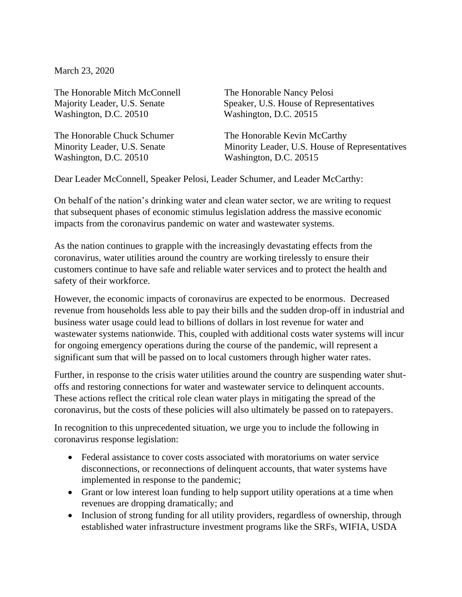March 23, 2020

The Honorable Mitch McConnell The Honorable Nancy Pelosi Washington, D.C. 20510 Washington, D.C. 20515

Washington, D.C. 20510 Washington, D.C. 20515

Majority Leader, U.S. Senate Speaker, U.S. House of Representatives

The Honorable Chuck Schumer The Honorable Kevin McCarthy Minority Leader, U.S. Senate Minority Leader, U.S. House of Representatives

Dear Leader McConnell, Speaker Pelosi, Leader Schumer, and Leader McCarthy:

On behalf of the nation's drinking water and clean water sector, we are writing to request that subsequent phases of economic stimulus legislation address the massive economic impacts from the coronavirus pandemic on water and wastewater systems.

As the nation continues to grapple with the increasingly devastating effects from the coronavirus, water utilities around the country are working tirelessly to ensure their customers continue to have safe and reliable water services and to protect the health and safety of their workforce.

However, the economic impacts of coronavirus are expected to be enormous. Decreased revenue from households less able to pay their bills and the sudden drop-off in industrial and business water usage could lead to billions of dollars in lost revenue for water and wastewater systems nationwide. This, coupled with additional costs water systems will incur for ongoing emergency operations during the course of the pandemic, will represent a significant sum that will be passed on to local customers through higher water rates.

Further, in response to the crisis water utilities around the country are suspending water shutoffs and restoring connections for water and wastewater service to delinquent accounts. These actions reflect the critical role clean water plays in mitigating the spread of the coronavirus, but the costs of these policies will also ultimately be passed on to ratepayers.

In recognition to this unprecedented situation, we urge you to include the following in coronavirus response legislation:

- Federal assistance to cover costs associated with moratoriums on water service disconnections, or reconnections of delinquent accounts, that water systems have implemented in response to the pandemic;
- Grant or low interest loan funding to help support utility operations at a time when revenues are dropping dramatically; and
- Inclusion of strong funding for all utility providers, regardless of ownership, through established water infrastructure investment programs like the SRFs, WIFIA, USDA